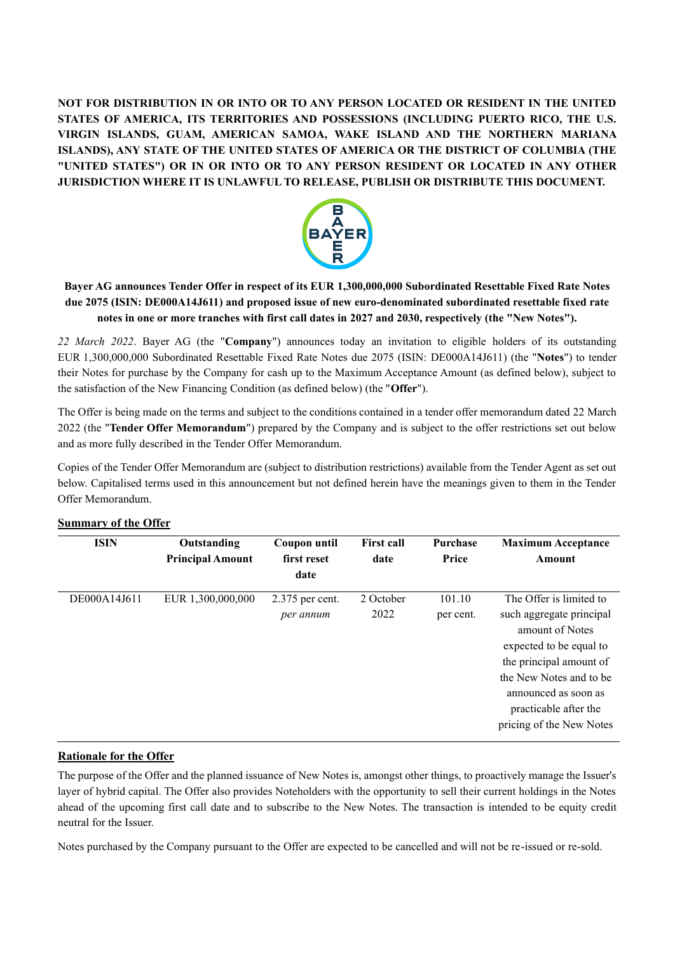**NOT FOR DISTRIBUTION IN OR INTO OR TO ANY PERSON LOCATED OR RESIDENT IN THE UNITED STATES OF AMERICA, ITS TERRITORIES AND POSSESSIONS (INCLUDING PUERTO RICO, THE U.S. VIRGIN ISLANDS, GUAM, AMERICAN SAMOA, WAKE ISLAND AND THE NORTHERN MARIANA ISLANDS), ANY STATE OF THE UNITED STATES OF AMERICA OR THE DISTRICT OF COLUMBIA (THE "UNITED STATES") OR IN OR INTO OR TO ANY PERSON RESIDENT OR LOCATED IN ANY OTHER JURISDICTION WHERE IT IS UNLAWFUL TO RELEASE, PUBLISH OR DISTRIBUTE THIS DOCUMENT.**



## **Bayer AG announces Tender Offer in respect of its EUR 1,300,000,000 Subordinated Resettable Fixed Rate Notes due 2075 (ISIN: DE000A14J611) and proposed issue of new euro-denominated subordinated resettable fixed rate notes in one or more tranches with first call dates in 2027 and 2030, respectively (the "New Notes").**

*22 March 2022*. Bayer AG (the "**Company**") announces today an invitation to eligible holders of its outstanding EUR 1,300,000,000 Subordinated Resettable Fixed Rate Notes due 2075 (ISIN: DE000A14J611) (the "**Notes**") to tender their Notes for purchase by the Company for cash up to the Maximum Acceptance Amount (as defined below), subject to the satisfaction of the New Financing Condition (as defined below) (the "**Offer**").

The Offer is being made on the terms and subject to the conditions contained in a tender offer memorandum dated 22 March 2022 (the "**Tender Offer Memorandum**") prepared by the Company and is subject to the offer restrictions set out below and as more fully described in the Tender Offer Memorandum.

Copies of the Tender Offer Memorandum are (subject to distribution restrictions) available from the Tender Agent as set out below. Capitalised terms used in this announcement but not defined herein have the meanings given to them in the Tender Offer Memorandum.

| <b>ISIN</b>  | Outstanding<br><b>Principal Amount</b> | <b>Coupon until</b><br>first reset<br>date | <b>First call</b><br>date | <b>Purchase</b><br>Price | <b>Maximum Acceptance</b><br>Amount                                                                                                                                                                       |
|--------------|----------------------------------------|--------------------------------------------|---------------------------|--------------------------|-----------------------------------------------------------------------------------------------------------------------------------------------------------------------------------------------------------|
| DE000A14J611 | EUR 1,300,000,000                      | $2.375$ per cent.                          | 2 October                 | 101.10                   | The Offer is limited to                                                                                                                                                                                   |
|              |                                        | per annum                                  | 2022                      | per cent.                | such aggregate principal<br>amount of Notes<br>expected to be equal to<br>the principal amount of<br>the New Notes and to be<br>announced as soon as<br>practicable after the<br>pricing of the New Notes |

## **Summary of the Offer**

## **Rationale for the Offer**

The purpose of the Offer and the planned issuance of New Notes is, amongst other things, to proactively manage the Issuer's layer of hybrid capital. The Offer also provides Noteholders with the opportunity to sell their current holdings in the Notes ahead of the upcoming first call date and to subscribe to the New Notes. The transaction is intended to be equity credit neutral for the Issuer.

Notes purchased by the Company pursuant to the Offer are expected to be cancelled and will not be re-issued or re-sold.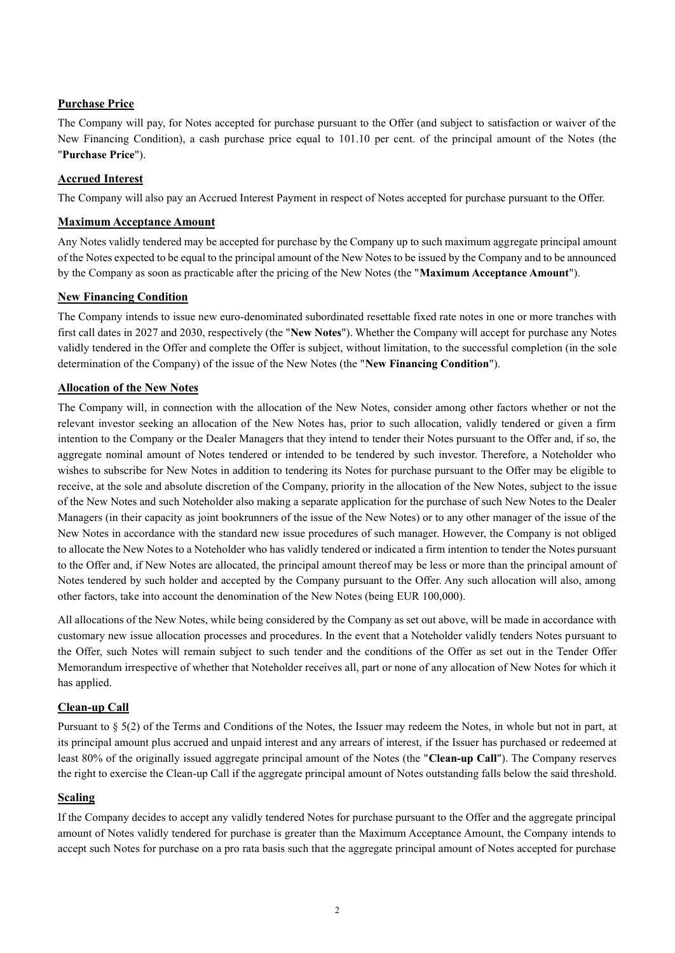## **Purchase Price**

The Company will pay, for Notes accepted for purchase pursuant to the Offer (and subject to satisfaction or waiver of the New Financing Condition), a cash purchase price equal to 101.10 per cent. of the principal amount of the Notes (the "**Purchase Price**").

## **Accrued Interest**

The Company will also pay an Accrued Interest Payment in respect of Notes accepted for purchase pursuant to the Offer.

## **Maximum Acceptance Amount**

Any Notes validly tendered may be accepted for purchase by the Company up to such maximum aggregate principal amount of the Notes expected to be equal to the principal amount of the New Notes to be issued by the Company and to be announced by the Company as soon as practicable after the pricing of the New Notes (the "**Maximum Acceptance Amount**").

## **New Financing Condition**

The Company intends to issue new euro-denominated subordinated resettable fixed rate notes in one or more tranches with first call dates in 2027 and 2030, respectively (the "**New Notes**"). Whether the Company will accept for purchase any Notes validly tendered in the Offer and complete the Offer is subject, without limitation, to the successful completion (in the sole determination of the Company) of the issue of the New Notes (the "**New Financing Condition**").

### **Allocation of the New Notes**

The Company will, in connection with the allocation of the New Notes, consider among other factors whether or not the relevant investor seeking an allocation of the New Notes has, prior to such allocation, validly tendered or given a firm intention to the Company or the Dealer Managers that they intend to tender their Notes pursuant to the Offer and, if so, the aggregate nominal amount of Notes tendered or intended to be tendered by such investor. Therefore, a Noteholder who wishes to subscribe for New Notes in addition to tendering its Notes for purchase pursuant to the Offer may be eligible to receive, at the sole and absolute discretion of the Company, priority in the allocation of the New Notes, subject to the issue of the New Notes and such Noteholder also making a separate application for the purchase of such New Notes to the Dealer Managers (in their capacity as joint bookrunners of the issue of the New Notes) or to any other manager of the issue of the New Notes in accordance with the standard new issue procedures of such manager. However, the Company is not obliged to allocate the New Notes to a Noteholder who has validly tendered or indicated a firm intention to tender the Notes pursuant to the Offer and, if New Notes are allocated, the principal amount thereof may be less or more than the principal amount of Notes tendered by such holder and accepted by the Company pursuant to the Offer. Any such allocation will also, among other factors, take into account the denomination of the New Notes (being EUR 100,000).

All allocations of the New Notes, while being considered by the Company as set out above, will be made in accordance with customary new issue allocation processes and procedures. In the event that a Noteholder validly tenders Notes pursuant to the Offer, such Notes will remain subject to such tender and the conditions of the Offer as set out in the Tender Offer Memorandum irrespective of whether that Noteholder receives all, part or none of any allocation of New Notes for which it has applied.

## **Clean-up Call**

Pursuant to § 5(2) of the Terms and Conditions of the Notes, the Issuer may redeem the Notes, in whole but not in part, at its principal amount plus accrued and unpaid interest and any arrears of interest, if the Issuer has purchased or redeemed at least 80% of the originally issued aggregate principal amount of the Notes (the "**Clean-up Call**"). The Company reserves the right to exercise the Clean-up Call if the aggregate principal amount of Notes outstanding falls below the said threshold.

## **Scaling**

If the Company decides to accept any validly tendered Notes for purchase pursuant to the Offer and the aggregate principal amount of Notes validly tendered for purchase is greater than the Maximum Acceptance Amount, the Company intends to accept such Notes for purchase on a pro rata basis such that the aggregate principal amount of Notes accepted for purchase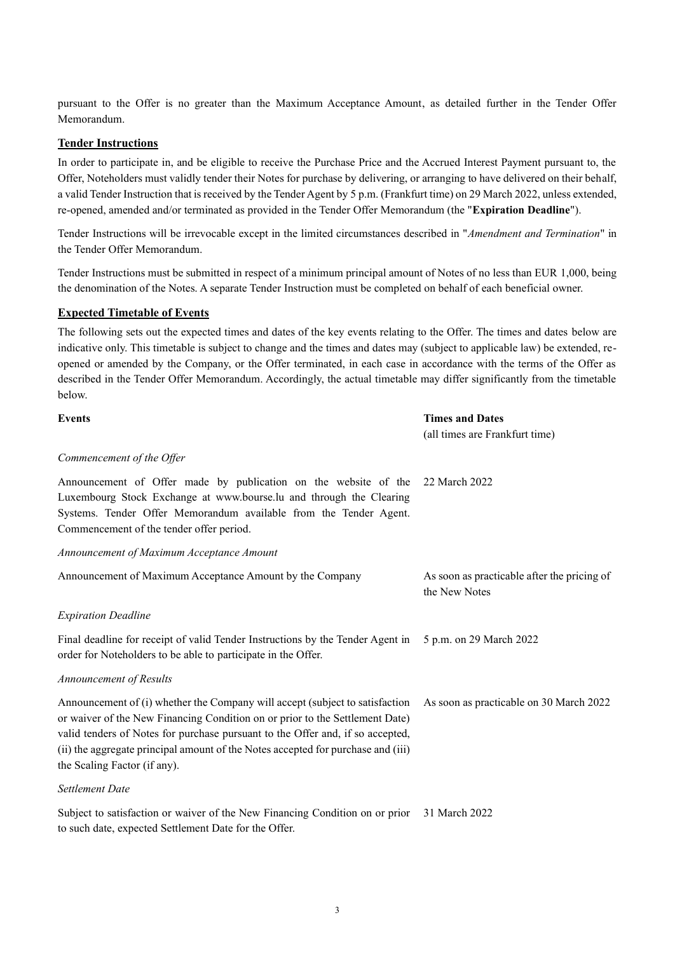pursuant to the Offer is no greater than the Maximum Acceptance Amount, as detailed further in the Tender Offer Memorandum.

### **Tender Instructions**

In order to participate in, and be eligible to receive the Purchase Price and the Accrued Interest Payment pursuant to, the Offer, Noteholders must validly tender their Notes for purchase by delivering, or arranging to have delivered on their behalf, a valid Tender Instruction that is received by the Tender Agent by 5 p.m. (Frankfurt time) on 29 March 2022, unless extended, re-opened, amended and/or terminated as provided in the Tender Offer Memorandum (the "**Expiration Deadline**").

Tender Instructions will be irrevocable except in the limited circumstances described in "*Amendment and Termination*" in the Tender Offer Memorandum.

Tender Instructions must be submitted in respect of a minimum principal amount of Notes of no less than EUR 1,000, being the denomination of the Notes. A separate Tender Instruction must be completed on behalf of each beneficial owner.

## **Expected Timetable of Events**

The following sets out the expected times and dates of the key events relating to the Offer. The times and dates below are indicative only. This timetable is subject to change and the times and dates may (subject to applicable law) be extended, reopened or amended by the Company, or the Offer terminated, in each case in accordance with the terms of the Offer as described in the Tender Offer Memorandum. Accordingly, the actual timetable may differ significantly from the timetable below.

| <b>Events</b>                                                                                                                                                                                                                                                                                                                                                      | <b>Times and Dates</b>                                       |
|--------------------------------------------------------------------------------------------------------------------------------------------------------------------------------------------------------------------------------------------------------------------------------------------------------------------------------------------------------------------|--------------------------------------------------------------|
|                                                                                                                                                                                                                                                                                                                                                                    | (all times are Frankfurt time)                               |
| Commencement of the Offer                                                                                                                                                                                                                                                                                                                                          |                                                              |
| Announcement of Offer made by publication on the website of the<br>Luxembourg Stock Exchange at www.bourse.lu and through the Clearing<br>Systems. Tender Offer Memorandum available from the Tender Agent.<br>Commencement of the tender offer period.                                                                                                            | 22 March 2022                                                |
| Announcement of Maximum Acceptance Amount                                                                                                                                                                                                                                                                                                                          |                                                              |
| Announcement of Maximum Acceptance Amount by the Company                                                                                                                                                                                                                                                                                                           | As soon as practicable after the pricing of<br>the New Notes |
| <b>Expiration Deadline</b>                                                                                                                                                                                                                                                                                                                                         |                                                              |
| Final deadline for receipt of valid Tender Instructions by the Tender Agent in<br>order for Noteholders to be able to participate in the Offer.                                                                                                                                                                                                                    | 5 p.m. on 29 March 2022                                      |
| Announcement of Results                                                                                                                                                                                                                                                                                                                                            |                                                              |
| Announcement of (i) whether the Company will accept (subject to satisfaction<br>or waiver of the New Financing Condition on or prior to the Settlement Date)<br>valid tenders of Notes for purchase pursuant to the Offer and, if so accepted,<br>(ii) the aggregate principal amount of the Notes accepted for purchase and (iii)<br>the Scaling Factor (if any). | As soon as practicable on 30 March 2022                      |
| Settlement Date                                                                                                                                                                                                                                                                                                                                                    |                                                              |
| Subject to satisfaction or waiver of the New Financing Condition on or prior<br>to such date, expected Settlement Date for the Offer.                                                                                                                                                                                                                              | 31 March 2022                                                |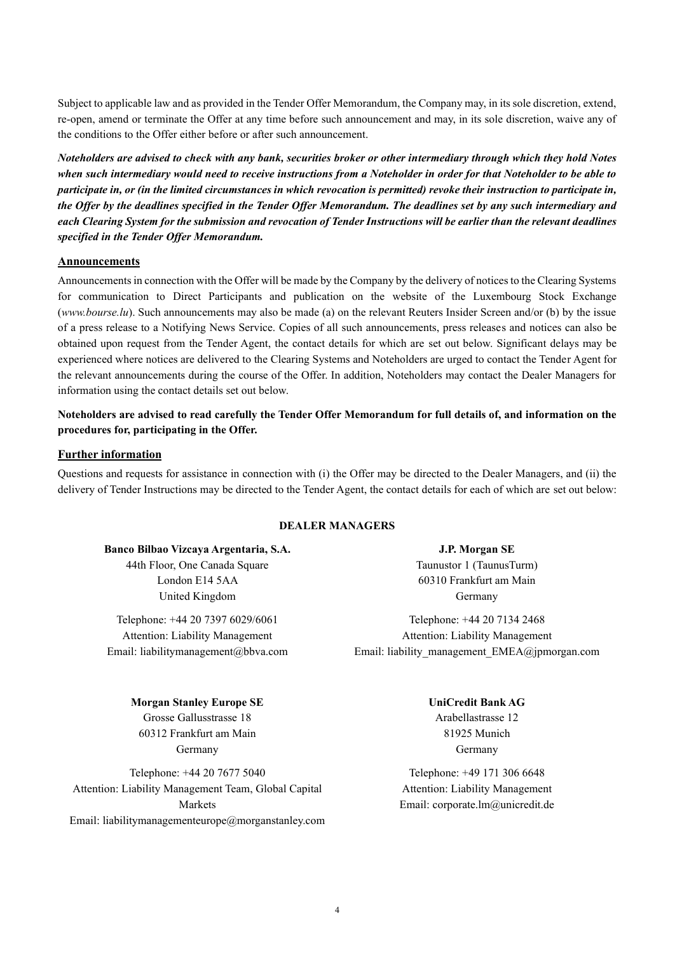Subject to applicable law and as provided in the Tender Offer Memorandum, the Company may, in its sole discretion, extend, re-open, amend or terminate the Offer at any time before such announcement and may, in its sole discretion, waive any of the conditions to the Offer either before or after such announcement.

*Noteholders are advised to check with any bank, securities broker or other intermediary through which they hold Notes when such intermediary would need to receive instructions from a Noteholder in order for that Noteholder to be able to participate in, or (in the limited circumstances in which revocation is permitted) revoke their instruction to participate in, the Offer by the deadlines specified in the Tender Offer Memorandum. The deadlines set by any such intermediary and each Clearing System for the submission and revocation of Tender Instructions will be earlier than the relevant deadlines specified in the Tender Offer Memorandum.*

#### **Announcements**

Announcements in connection with the Offer will be made by the Company by the delivery of notices to the Clearing Systems for communication to Direct Participants and publication on the website of the Luxembourg Stock Exchange (*www.bourse.lu*). Such announcements may also be made (a) on the relevant Reuters Insider Screen and/or (b) by the issue of a press release to a Notifying News Service. Copies of all such announcements, press releases and notices can also be obtained upon request from the Tender Agent, the contact details for which are set out below. Significant delays may be experienced where notices are delivered to the Clearing Systems and Noteholders are urged to contact the Tender Agent for the relevant announcements during the course of the Offer. In addition, Noteholders may contact the Dealer Managers for information using the contact details set out below.

**Noteholders are advised to read carefully the Tender Offer Memorandum for full details of, and information on the procedures for, participating in the Offer.**

### **Further information**

Questions and requests for assistance in connection with (i) the Offer may be directed to the Dealer Managers, and (ii) the delivery of Tender Instructions may be directed to the Tender Agent, the contact details for each of which are set out below:

## **DEALER MANAGERS**

**Banco Bilbao Vizcaya Argentaria, S.A.** 44th Floor, One Canada Square London E14 5AA United Kingdom

Telephone: +44 20 7397 6029/6061 Attention: Liability Management Email: liabilitymanagement@bbva.com

# **Morgan Stanley Europe SE**

Grosse Gallusstrasse 18 60312 Frankfurt am Main Germany

Telephone: +44 20 7677 5040 Attention: Liability Management Team, Global Capital Markets Email: liabilitymanagementeurope@morganstanley.com

**J.P. Morgan SE** Taunustor 1 (TaunusTurm) 60310 Frankfurt am Main Germany

Telephone: +44 20 7134 2468 Attention: Liability Management Email: liability\_management\_EMEA@jpmorgan.com

## **UniCredit Bank AG** Arabellastrasse 12 81925 Munich Germany

Telephone: +49 171 306 6648 Attention: Liability Management Email: corporate.lm@unicredit.de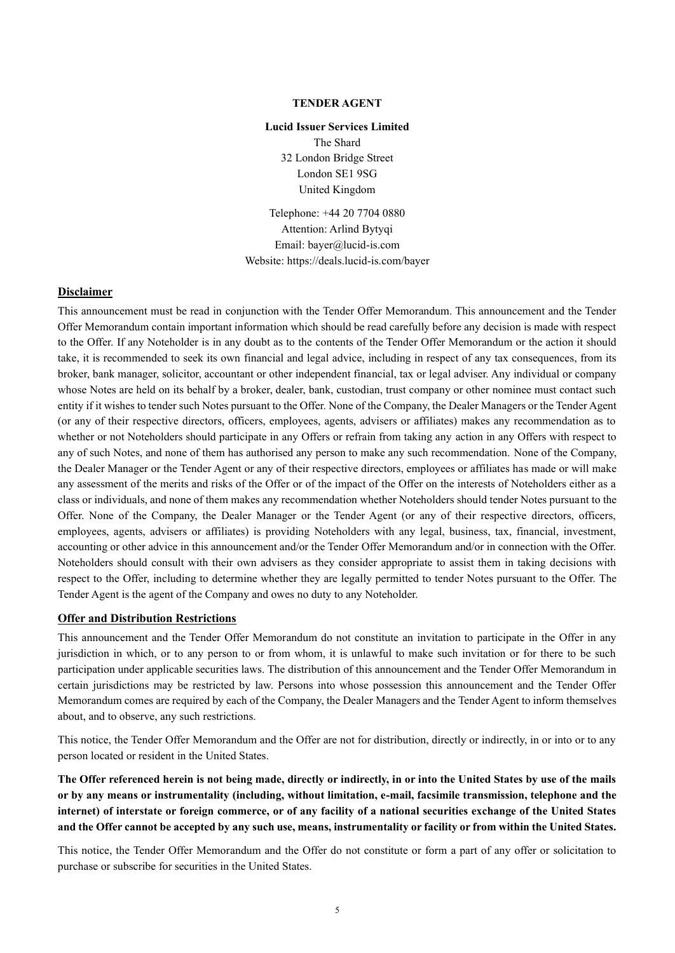#### **TENDER AGENT**

#### **Lucid Issuer Services Limited**

The Shard 32 London Bridge Street London SE1 9SG United Kingdom

Telephone: +44 20 7704 0880 Attention: Arlind Bytyqi Email: bayer@lucid-is.com Website: https://deals.lucid-is.com/bayer

#### **Disclaimer**

This announcement must be read in conjunction with the Tender Offer Memorandum. This announcement and the Tender Offer Memorandum contain important information which should be read carefully before any decision is made with respect to the Offer. If any Noteholder is in any doubt as to the contents of the Tender Offer Memorandum or the action it should take, it is recommended to seek its own financial and legal advice, including in respect of any tax consequences, from its broker, bank manager, solicitor, accountant or other independent financial, tax or legal adviser. Any individual or company whose Notes are held on its behalf by a broker, dealer, bank, custodian, trust company or other nominee must contact such entity if it wishes to tender such Notes pursuant to the Offer. None of the Company, the Dealer Managers or the Tender Agent (or any of their respective directors, officers, employees, agents, advisers or affiliates) makes any recommendation as to whether or not Noteholders should participate in any Offers or refrain from taking any action in any Offers with respect to any of such Notes, and none of them has authorised any person to make any such recommendation. None of the Company, the Dealer Manager or the Tender Agent or any of their respective directors, employees or affiliates has made or will make any assessment of the merits and risks of the Offer or of the impact of the Offer on the interests of Noteholders either as a class or individuals, and none of them makes any recommendation whether Noteholders should tender Notes pursuant to the Offer. None of the Company, the Dealer Manager or the Tender Agent (or any of their respective directors, officers, employees, agents, advisers or affiliates) is providing Noteholders with any legal, business, tax, financial, investment, accounting or other advice in this announcement and/or the Tender Offer Memorandum and/or in connection with the Offer. Noteholders should consult with their own advisers as they consider appropriate to assist them in taking decisions with respect to the Offer, including to determine whether they are legally permitted to tender Notes pursuant to the Offer. The Tender Agent is the agent of the Company and owes no duty to any Noteholder.

### **Offer and Distribution Restrictions**

This announcement and the Tender Offer Memorandum do not constitute an invitation to participate in the Offer in any jurisdiction in which, or to any person to or from whom, it is unlawful to make such invitation or for there to be such participation under applicable securities laws. The distribution of this announcement and the Tender Offer Memorandum in certain jurisdictions may be restricted by law. Persons into whose possession this announcement and the Tender Offer Memorandum comes are required by each of the Company, the Dealer Managers and the Tender Agent to inform themselves about, and to observe, any such restrictions.

This notice, the Tender Offer Memorandum and the Offer are not for distribution, directly or indirectly, in or into or to any person located or resident in the United States.

**The Offer referenced herein is not being made, directly or indirectly, in or into the United States by use of the mails or by any means or instrumentality (including, without limitation, e-mail, facsimile transmission, telephone and the internet) of interstate or foreign commerce, or of any facility of a national securities exchange of the United States and the Offer cannot be accepted by any such use, means, instrumentality or facility or from within the United States.** 

This notice, the Tender Offer Memorandum and the Offer do not constitute or form a part of any offer or solicitation to purchase or subscribe for securities in the United States.